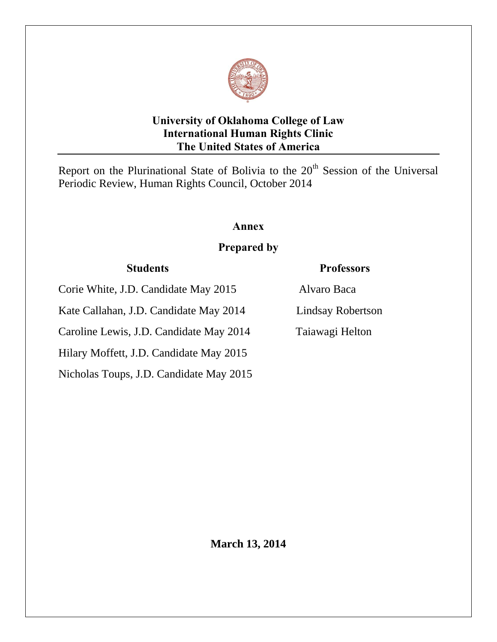

# **University of Oklahoma College of Law International Human Rights Clinic The United States of America**

Report on the Plurinational State of Bolivia to the  $20<sup>th</sup>$  Session of the Universal Periodic Review, Human Rights Council, October 2014

# **Annex**

# **Prepared by**

# **Students Professors**

Corie White, J.D. Candidate May 2015 Alvaro Baca Kate Callahan, J.D. Candidate May 2014 Lindsay Robertson Caroline Lewis, J.D. Candidate May 2014 Taiawagi Helton Hilary Moffett, J.D. Candidate May 2015 Nicholas Toups, J.D. Candidate May 2015

**March 13, 2014**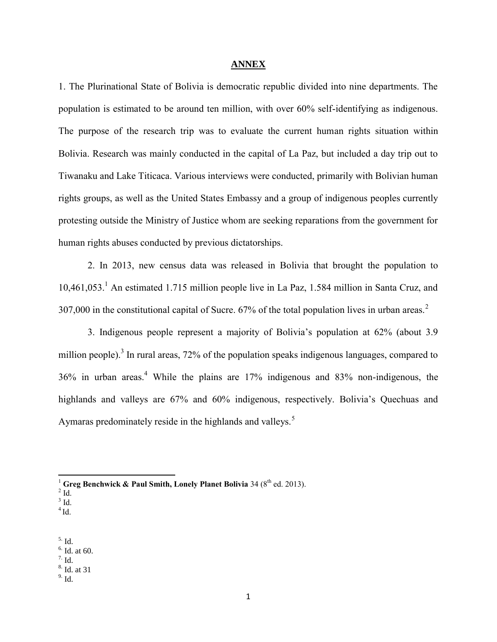## **ANNEX**

1. The Plurinational State of Bolivia is democratic republic divided into nine departments. The population is estimated to be around ten million, with over 60% self-identifying as indigenous. The purpose of the research trip was to evaluate the current human rights situation within Bolivia. Research was mainly conducted in the capital of La Paz, but included a day trip out to Tiwanaku and Lake Titicaca. Various interviews were conducted, primarily with Bolivian human rights groups, as well as the United States Embassy and a group of indigenous peoples currently protesting outside the Ministry of Justice whom are seeking reparations from the government for human rights abuses conducted by previous dictatorships.

2. In 2013, new census data was released in Bolivia that brought the population to 10,461,053.<sup>1</sup> An estimated 1.715 million people live in La Paz, 1.584 million in Santa Cruz, and 307,000 in the constitutional capital of Sucre. 67% of the total population lives in urban areas.<sup>2</sup>

3. Indigenous people represent a majority of Bolivia's population at 62% (about 3.9 million people).<sup>3</sup> In rural areas, 72% of the population speaks indigenous languages, compared to 36% in urban areas.<sup>4</sup> While the plains are 17% indigenous and 83% non-indigenous, the highlands and valleys are 67% and 60% indigenous, respectively. Bolivia's Quechuas and Aymaras predominately reside in the highlands and valleys.<sup>5</sup>

l

- $3$  Id.
- $4$ Id.

 $6.$  Id. at 60.

9. Id.

<sup>&</sup>lt;sup>1</sup> Greg Benchwick & Paul Smith, Lonely Planet Bolivia 34 ( $8<sup>th</sup>$  ed. 2013).

 $2$  Id.

<sup>5.</sup> Id.

 $7.$  Id. 8. Id. at 31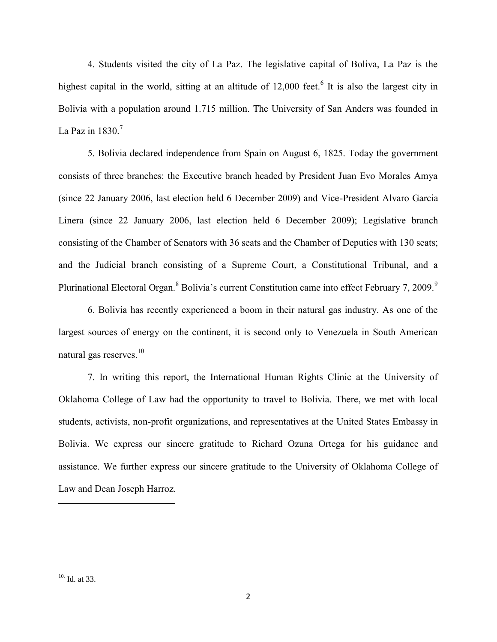4. Students visited the city of La Paz. The legislative capital of Boliva, La Paz is the highest capital in the world, sitting at an altitude of  $12,000$  feet.<sup>6</sup> It is also the largest city in Bolivia with a population around 1.715 million. The University of San Anders was founded in La Paz in  $1830.<sup>7</sup>$ 

5. Bolivia declared independence from Spain on August 6, 1825. Today the government consists of three branches: the Executive branch headed by President Juan Evo Morales Amya (since 22 January 2006, last election held 6 December 2009) and Vice-President Alvaro Garcia Linera (since 22 January 2006, last election held 6 December 2009); Legislative branch consisting of the Chamber of Senators with 36 seats and the Chamber of Deputies with 130 seats; and the Judicial branch consisting of a Supreme Court, a Constitutional Tribunal, and a Plurinational Electoral Organ.<sup>8</sup> Bolivia's current Constitution came into effect February 7, 2009.<sup>9</sup>

6. Bolivia has recently experienced a boom in their natural gas industry. As one of the largest sources of energy on the continent, it is second only to Venezuela in South American natural gas reserves.<sup>10</sup>

7. In writing this report, the International Human Rights Clinic at the University of Oklahoma College of Law had the opportunity to travel to Bolivia. There, we met with local students, activists, non-profit organizations, and representatives at the United States Embassy in Bolivia. We express our sincere gratitude to Richard Ozuna Ortega for his guidance and assistance. We further express our sincere gratitude to the University of Oklahoma College of Law and Dean Joseph Harroz.

l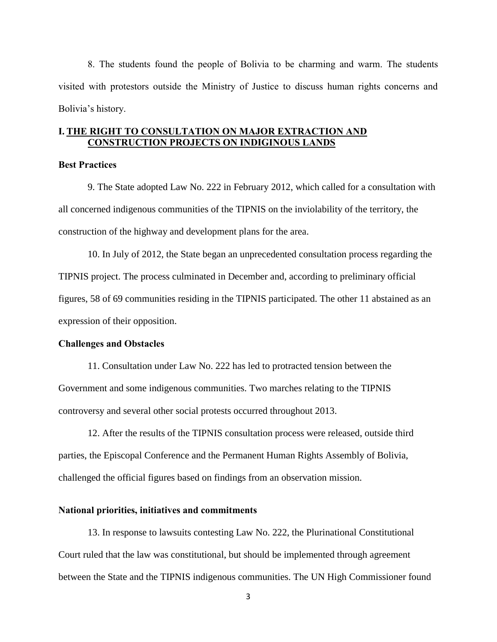8. The students found the people of Bolivia to be charming and warm. The students visited with protestors outside the Ministry of Justice to discuss human rights concerns and Bolivia's history.

# **I. THE RIGHT TO CONSULTATION ON MAJOR EXTRACTION AND CONSTRUCTION PROJECTS ON INDIGINOUS LANDS**

# **Best Practices**

9. The State adopted Law No. 222 in February 2012, which called for a consultation with all concerned indigenous communities of the TIPNIS on the inviolability of the territory, the construction of the highway and development plans for the area.

10. In July of 2012, the State began an unprecedented consultation process regarding the TIPNIS project. The process culminated in December and, according to preliminary official figures, 58 of 69 communities residing in the TIPNIS participated. The other 11 abstained as an expression of their opposition.

#### **Challenges and Obstacles**

11. Consultation under Law No. 222 has led to protracted tension between the Government and some indigenous communities. Two marches relating to the TIPNIS controversy and several other social protests occurred throughout 2013.

12. After the results of the TIPNIS consultation process were released, outside third parties, the Episcopal Conference and the Permanent Human Rights Assembly of Bolivia, challenged the official figures based on findings from an observation mission.

## **National priorities, initiatives and commitments**

13. In response to lawsuits contesting Law No. 222, the Plurinational Constitutional Court ruled that the law was constitutional, but should be implemented through agreement between the State and the TIPNIS indigenous communities. The UN High Commissioner found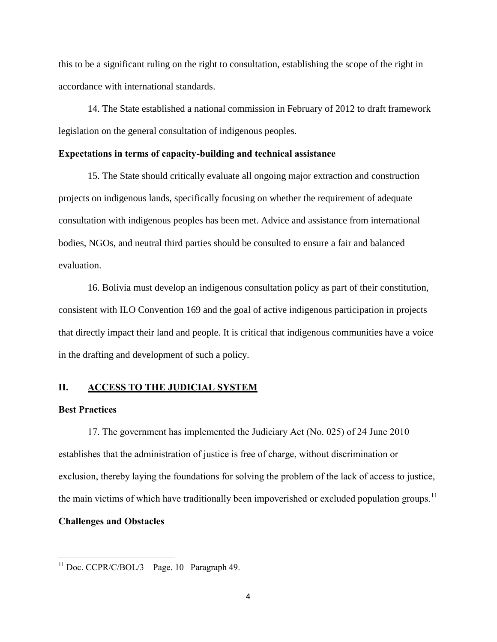this to be a significant ruling on the right to consultation, establishing the scope of the right in accordance with international standards.

14. The State established a national commission in February of 2012 to draft framework legislation on the general consultation of indigenous peoples.

## **Expectations in terms of capacity-building and technical assistance**

15. The State should critically evaluate all ongoing major extraction and construction projects on indigenous lands, specifically focusing on whether the requirement of adequate consultation with indigenous peoples has been met. Advice and assistance from international bodies, NGOs, and neutral third parties should be consulted to ensure a fair and balanced evaluation.

16. Bolivia must develop an indigenous consultation policy as part of their constitution, consistent with ILO Convention 169 and the goal of active indigenous participation in projects that directly impact their land and people. It is critical that indigenous communities have a voice in the drafting and development of such a policy.

# **II. ACCESS TO THE JUDICIAL SYSTEM**

# **Best Practices**

 $\overline{\phantom{a}}$ 

17. The government has implemented the Judiciary Act (No. 025) of 24 June 2010 establishes that the administration of justice is free of charge, without discrimination or exclusion, thereby laying the foundations for solving the problem of the lack of access to justice, the main victims of which have traditionally been impoverished or excluded population groups.<sup>11</sup> **Challenges and Obstacles**

 $11$  Doc. CCPR/C/BOL/3 Page. 10 Paragraph 49.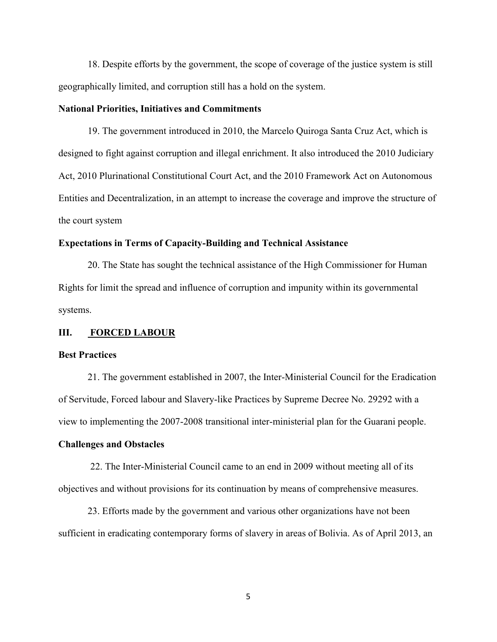18. Despite efforts by the government, the scope of coverage of the justice system is still geographically limited, and corruption still has a hold on the system.

## **National Priorities, Initiatives and Commitments**

19. The government introduced in 2010, the Marcelo Quiroga Santa Cruz Act, which is designed to fight against corruption and illegal enrichment. It also introduced the 2010 Judiciary Act, 2010 Plurinational Constitutional Court Act, and the 2010 Framework Act on Autonomous Entities and Decentralization, in an attempt to increase the coverage and improve the structure of the court system

# **Expectations in Terms of Capacity-Building and Technical Assistance**

20. The State has sought the technical assistance of the High Commissioner for Human Rights for limit the spread and influence of corruption and impunity within its governmental systems.

## **III. FORCED LABOUR**

#### **Best Practices**

21. The government established in 2007, the Inter-Ministerial Council for the Eradication of Servitude, Forced labour and Slavery-like Practices by Supreme Decree No. 29292 with a view to implementing the 2007-2008 transitional inter-ministerial plan for the Guarani people.

#### **Challenges and Obstacles**

22. The Inter-Ministerial Council came to an end in 2009 without meeting all of its objectives and without provisions for its continuation by means of comprehensive measures.

23. Efforts made by the government and various other organizations have not been sufficient in eradicating contemporary forms of slavery in areas of Bolivia. As of April 2013, an

5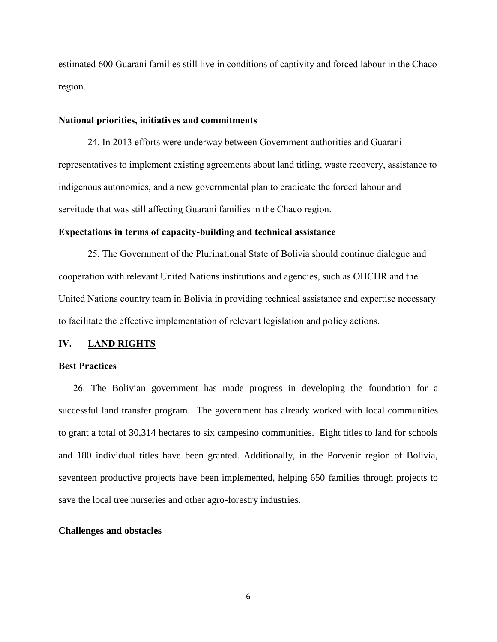estimated 600 Guarani families still live in conditions of captivity and forced labour in the Chaco region.

# **National priorities, initiatives and commitments**

24. In 2013 efforts were underway between Government authorities and Guarani representatives to implement existing agreements about land titling, waste recovery, assistance to indigenous autonomies, and a new governmental plan to eradicate the forced labour and servitude that was still affecting Guarani families in the Chaco region.

# **Expectations in terms of capacity-building and technical assistance**

25. The Government of the Plurinational State of Bolivia should continue dialogue and cooperation with relevant United Nations institutions and agencies, such as OHCHR and the United Nations country team in Bolivia in providing technical assistance and expertise necessary to facilitate the effective implementation of relevant legislation and policy actions.

# **IV. LAND RIGHTS**

# **Best Practices**

26. The Bolivian government has made progress in developing the foundation for a successful land transfer program.The government has already worked with local communities to grant a total of 30,314 hectares to six campesino communities. Eight titles to land for schools and 180 individual titles have been granted. Additionally, in the Porvenir region of Bolivia, seventeen productive projects have been implemented, helping 650 families through projects to save the local tree nurseries and other agro-forestry industries.

#### **Challenges and obstacles**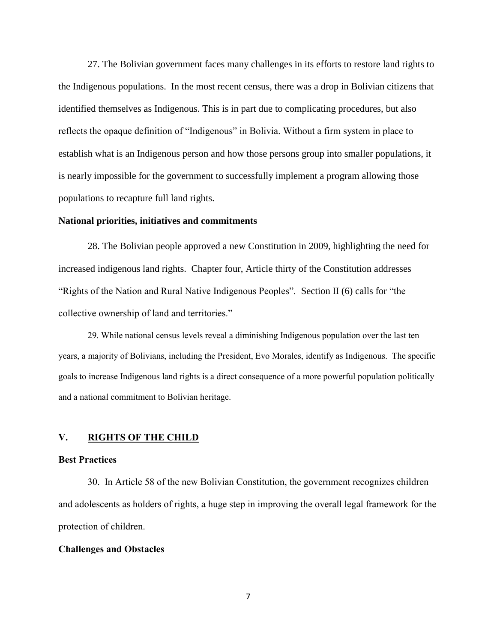27. The Bolivian government faces many challenges in its efforts to restore land rights to the Indigenous populations. In the most recent census, there was a drop in Bolivian citizens that identified themselves as Indigenous. This is in part due to complicating procedures, but also reflects the opaque definition of "Indigenous" in Bolivia. Without a firm system in place to establish what is an Indigenous person and how those persons group into smaller populations, it is nearly impossible for the government to successfully implement a program allowing those populations to recapture full land rights.

# **National priorities, initiatives and commitments**

28. The Bolivian people approved a new Constitution in 2009, highlighting the need for increased indigenous land rights. Chapter four, Article thirty of the Constitution addresses "Rights of the Nation and Rural Native Indigenous Peoples". Section II (6) calls for "the collective ownership of land and territories."

29. While national census levels reveal a diminishing Indigenous population over the last ten years, a majority of Bolivians, including the President, Evo Morales, identify as Indigenous. The specific goals to increase Indigenous land rights is a direct consequence of a more powerful population politically and a national commitment to Bolivian heritage.

# **V. RIGHTS OF THE CHILD**

## **Best Practices**

30. In Article 58 of the new Bolivian Constitution, the government recognizes children and adolescents as holders of rights, a huge step in improving the overall legal framework for the protection of children.

#### **Challenges and Obstacles**

7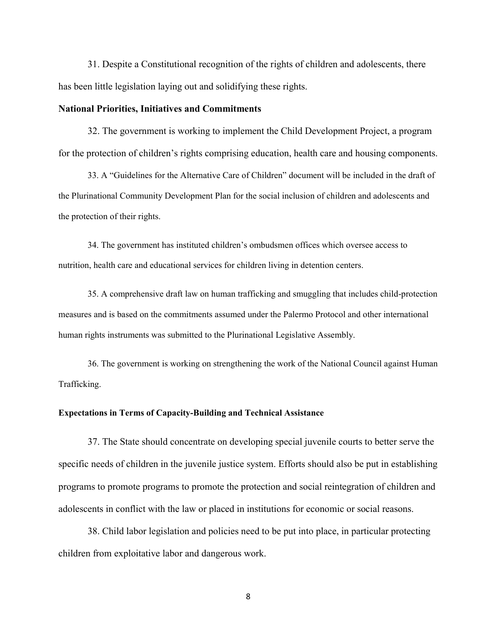31. Despite a Constitutional recognition of the rights of children and adolescents, there has been little legislation laying out and solidifying these rights.

## **National Priorities, Initiatives and Commitments**

32. The government is working to implement the Child Development Project, a program for the protection of children's rights comprising education, health care and housing components.

33. A "Guidelines for the Alternative Care of Children" document will be included in the draft of the Plurinational Community Development Plan for the social inclusion of children and adolescents and the protection of their rights.

34. The government has instituted children's ombudsmen offices which oversee access to nutrition, health care and educational services for children living in detention centers.

35. A comprehensive draft law on human trafficking and smuggling that includes child-protection measures and is based on the commitments assumed under the Palermo Protocol and other international human rights instruments was submitted to the Plurinational Legislative Assembly.

36. The government is working on strengthening the work of the National Council against Human Trafficking.

#### **Expectations in Terms of Capacity-Building and Technical Assistance**

37. The State should concentrate on developing special juvenile courts to better serve the specific needs of children in the juvenile justice system. Efforts should also be put in establishing programs to promote programs to promote the protection and social reintegration of children and adolescents in conflict with the law or placed in institutions for economic or social reasons.

38. Child labor legislation and policies need to be put into place, in particular protecting children from exploitative labor and dangerous work.

8